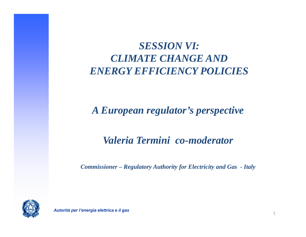# *SESSION VI VI: CLIMATE CHANGE AND ENERGY EFFICIENCY POLICIES*

## *A European regulator's perspective*

## *Valeria Termini co-moderator*

*Commissioner – Regulatory Authority for Electricity and Gas - Italy*

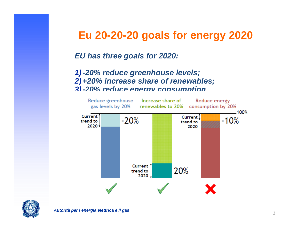## **Eu 20-20-20 goals for energy 2020**

*EU has three goals for 2020:*

*1) -20 % reduce greenhouse levels ; 2)+20% increase share of renewables; 3)-20% reduce energy consumption*.



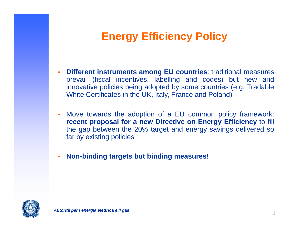# **Energy Efficiency Policy**

- • **Different instruments among EU countries** : traditional measures prevail (fiscal incentives, labelling and codes) but new and innovative policies being adopted by some countries (e.g. Tradable White Certificates in the UK, Italy, France and Poland)
- • Move towards the adoption of <sup>a</sup> EU common policy framework: **recent proposal for <sup>a</sup> new Directive on Energy Efficiency** to fill the gap between the 20% target and energy savings delivered so fa r by existing policies
- •**Non-binding targets but binding measures!**

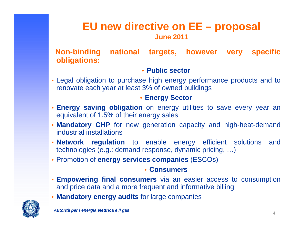## **EU new directive on EE – proposal June 2011**

#### **Non-binding national targets, however very specific obligations:**

#### • **Public sector**

• Legal obligation to purchase high energy performance products and to renovate each year at least 3% of owned buildings

#### • **Energy Sector**

- **Energy saving obligation** on energy utilities to save every year an equivalent of 1.5% of their energy sales
- • **Mandatory CHP** for new generation capacity and high-heat-demand industrial installations
- **Network regulation** to enable energy efficient solutions and technologies (e.g.: demand response, dynamic pricing, …)
- **Promotion of energy services companies** (ESCOs)

#### • **Consumers**

- **Empowering final consumers** via an easier access to consumption and price data and <sup>a</sup> more frequent and informative billing
- **Mandatory energy audits** fo r large companies

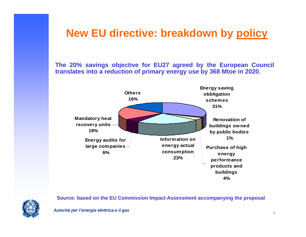## **New EU directive: breakdown by policy**

**The 20% savings objective for EU27 agreed by the European Council translates into a reduction of primary energy use by 368 Mtoe in 2020.**



**Source: based on the EU Commission Impact Assessment accompanying the proposal**

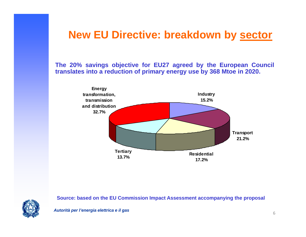## **New EU Directive: breakdown by sector**

**The 20% savings objective for EU27 agreed by the European Council translates into a reduction of primary energy use by 368 Mtoe in 2020.**



**Source: based on the EU Commission Impact Assessment accompanying the proposal**



*Autorità per l'energia elettrica e il gas*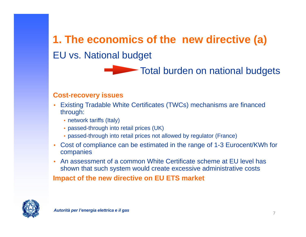# **1. The economics of the new directive (a)** EU vs. National budget

## Total burden on national budgets

#### **Cost-recovery issues**

- Existing Tradable White Certificates (TWCs) mechanisms are financed •through:
	- network tariffs (Italy)
	- passed-through into retail prices (UK)
	- passed-through into retail prices not allowed by regulator (France)
- • Cost of compliance can be estimated in the range of 1-3 Eurocent/KWh for companies
- •• An assessment of a common White Certificate scheme at EU level has shown that such system would create excessive administrative costs

**Impact of the new directive on EU ETS market**

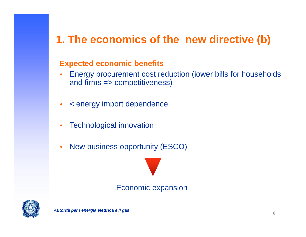# **1. The economics of the new directive ( b )**

#### **Expected economic benefits**

- Energy procurement cost reduction (lower bills for households •and firms => competitiveness)
- •<sup>&</sup>lt; energy import dependence
- •Technological innovation
- •New business opportunity (ESCO)

### Economic expansion

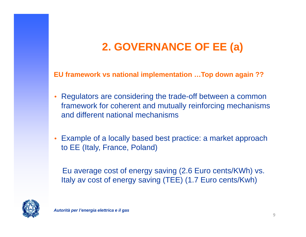# **2 GOVERNANCE OF EE ( ) 2. a**

EU framework vs national implementation …Top down again ??

- • Regulators are considering the trade-off between a common framework for coherent and mutually reinforcing mechanisms and different national mechanisms
- Example of a locally based best practice: a market approach to EE (Italy, France, Poland)

Eu average cost of energy saving (2.6 Euro cents/KWh) vs. Italy av cost of energy saving (TEE) (1.7 Euro cents/Kwh)

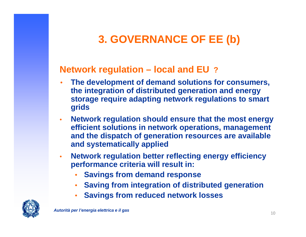# **3. GOVERNANCE OF EE ( b )**

## **Network re gulation – local and EU ?**

- • **The development of demand solutions for consumers, the integration of distributed generation and energy storage require adapting network regulations to smart grids**
- $\bullet$  **Network regulation should ensure that the most energy efficient solutions in network operations, management**  and the dispatch of generation resources are available **and systematically applied**
- $\bullet$  **Network regulation better reflecting energy efficiency performance criteria will result in: criteria**
	- •**Savings from demand response**
	- •**Saving from integration of distributed generation**
	- **S i f d d t kl Savings from re duce d ne twor k losses**•

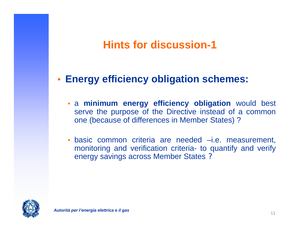#### **Hints for discussion-1**,一个人的人,一个人的人,一个人的人,一个人的人,一个人的人,一个人的人,一个人的人,一个人的人,一个人的人,一个人的人,一个人的人,一个人的人,一个人的人,一个

#### •**Energy efficiency obligation schemes:**

- a **minimum energy efficiency obligation** would best serve the purpose of the Directive instead of <sup>a</sup> common one (because of differences in Member States) ?
- basic common criteria are needed –i.e. measurement, monitoring and verification criteria- to quantify and verify energy savings across Member States ?

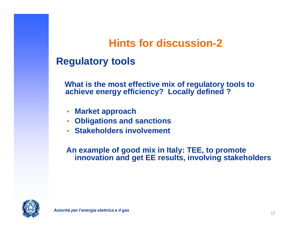#### **Hints for discussion-2**

## **Regulatory tools**

**What is the most effective mix of regulatory tools to achieve energy efficiency? Locally defined ?**

- •**Market approach**
- **Obligations and sanctions**
- **Stakeholders involvement**

**An example of good mix in Italy: TEE, to promote innovation and get EE results, involving stakeholders**

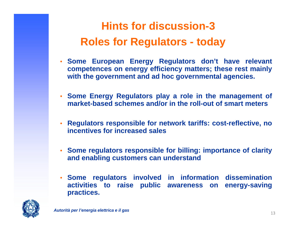### **Hints for discussion-3Roles for Regulators s for Regulators - today**

- **Some European Energy Regulators don't have relevant competences on energy efficiency matters; these rest mainly with the government and ad hoc governmental agencies.**
- **Some Energy Regulators play <sup>a</sup> role in the management of market-based schemes and/or in the roll -out of smart meters**
- • **Regulators responsible for network tariffs: cost-reflective, no incentives for increased sales**
- **Some regulators responsible for billing: importance of clarity and enabling customers can understand**
- **Some regulators involved in information dissemination activities to raise public awareness on energy-saving practices .**

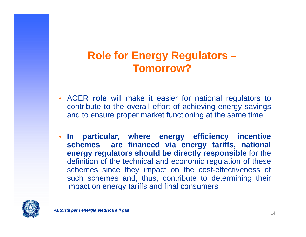# **Role for Energy Regulators – Tomorrow?**

- • ACER **role** will make it easier for national regulators to contribute to the overall effort o f achieving energy savings and to ensure proper market functioning at the same time.
- • **In particular, where energy efficiency incentive schemes are financed via energy tariffs, national energy regulators should be directly responsible** for the definition of the technical and economic regulation of these schemes since they impact on the cost-effectiveness of such schemes and, thus, contribute to determining their impact on energy tariffs and final consumers

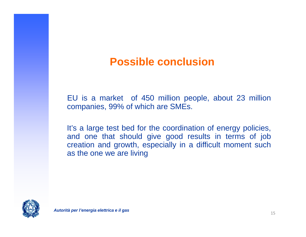## **Possible conclusion**

EU is <sup>a</sup> market of 450 million people, about 23 million companies, 99% <sup>o</sup> f which are SMEs.

It's <sup>a</sup> large test bed for the coordination of energy policies, and one that should give good results in terms <sup>o</sup> f job creation and growth, especially in <sup>a</sup> difficult moment such as the one we are living

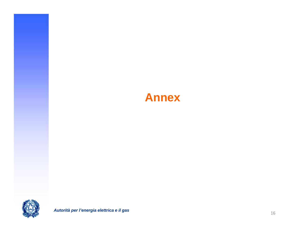# **Annex**

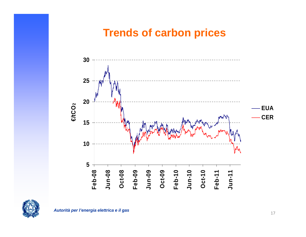## **Trends of carbon prices**



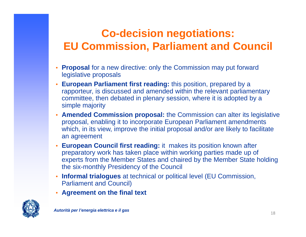# **Co-decision negotiations: EU C i i P li t d C il Commission, Parliamen t an Council**

- • **Proposal** for a new directive: only the Commission may put forward legislative proposals
- • **European Parliament first reading:** this position, prepared by a rapporteur, is discussed and amended within the relevant parliamentary committee, then debated in plenary session, where it is adopted by a simple majority
- • **Amended Commission proposal:** the Commission can alter its legislative proposal, enabling it to incorporate European Parliament amendments which, in its view, improve the initial proposal and/or are likely to facilitate an agreement
- • **European Council first reading:** it makes its position known after preparatory work has taken place within working parties made up of experts from the Member States and chaired by the Member State holding the six-monthly Presidency of the Council
- **Informal trialogues** at technical or political level (EU Commission, Parliament and Council)
- •**Agreement on the final text**

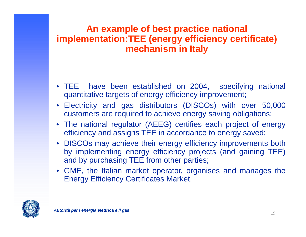## **An example of best practice national im p ( gy y ) lementation:TEE (energy efficienc y certificate mechanism in Italy**

- TEE have been established on 2004, specifying national quantitative targets of energy efficiency improvement;
- •• Electricity and gas distributors (DISCOs) with over 50,000 customers are required to achieve energy saving obligations;
- $\bullet$  The national regulator (AEEG) certifies each project of energy efficiency and assigns TEE in accordance to energy saved;
- DISCOs may achieve their energy efficiency improvements both by implementing energy efficiency projects (and gaining TEE) and by purchasing TEE from other parties;
- GME, the Italian market operator, organises and manages the Energy Efficiency Certificates Market.

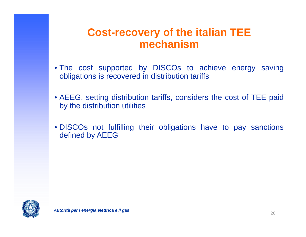## **Cost-recovery of the italian TEE mechanism**

- The cost supported by DISCOs to achieve energy saving obligations is recovered in distribution tariffs
- AEEG, setting distribution tariffs, considers the cost of TEE paid by the distribution utilities
- DISCOs not fulfilling their obligations have to pay sanctions defined by AEEG

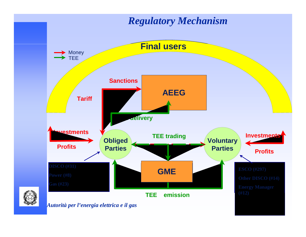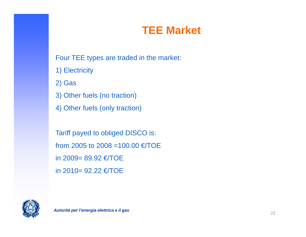## **TEE Market**

Four TEE types are traded in the market:

1) Electricity

2) Gas

3) Other fuels (no traction)

4) Other fuels (only traction)

Tariff payed to obliged DISCO is: from 2005 to 2008 =100.00 €/TOE in 2009= 89.92 €/TOE in 2010= 92.22 €/TOE

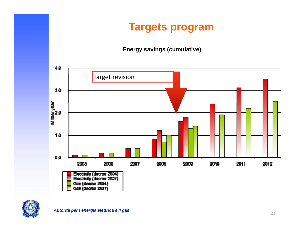# **Targets program**

#### **Energy savings (cumulative)**



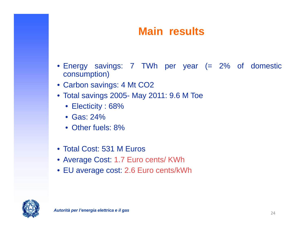# **Main results**

- Energy savings: 7 TWh per year (= 2% of domestic consumption)
- Carbon savings: 4 Mt CO2
- Total savings 2005- May 2011: 9.6 M Toe
	- $\bullet\,$  Electicity : 68%
	- Gas: 24%
	- Other fuels: 8%
- Total Cost: 531 M Euros
- Average Cost: 1.7 Euro cents/ KWh
- EU average cost: 2.6 Euro cents/kWh